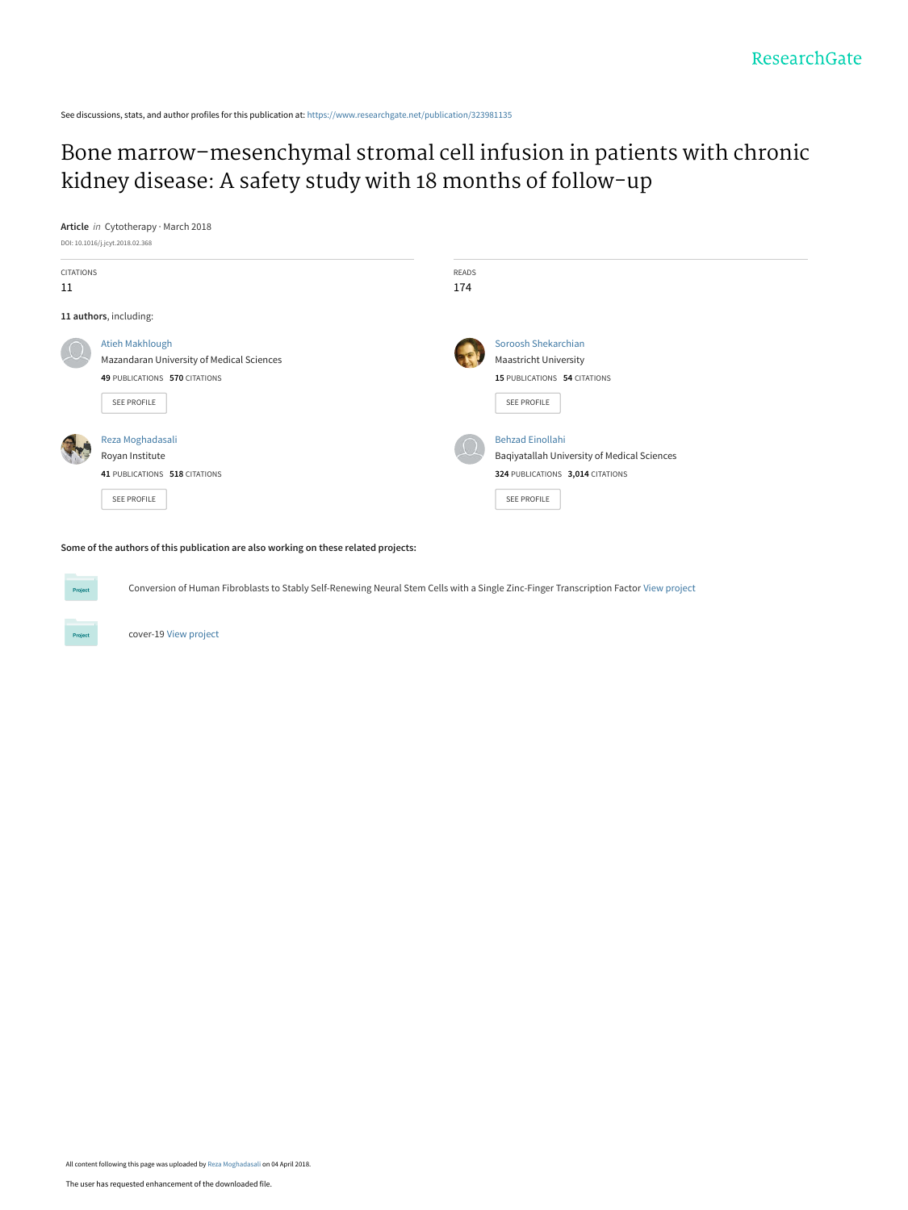See discussions, stats, and author profiles for this publication at: [https://www.researchgate.net/publication/323981135](https://www.researchgate.net/publication/323981135_Bone_marrow-mesenchymal_stromal_cell_infusion_in_patients_with_chronic_kidney_disease_A_safety_study_with_18_months_of_follow-up?enrichId=rgreq-35f43a9777e4326cb2fab4c8b8c1e07d-XXX&enrichSource=Y292ZXJQYWdlOzMyMzk4MTEzNTtBUzo2MTE2MjMwMzEwMjk3NjBAMTUyMjgzMzcwMjE4OA%3D%3D&el=1_x_2&_esc=publicationCoverPdf)

[Bone marrow–mesenchymal stromal cell infusion in patients with chronic](https://www.researchgate.net/publication/323981135_Bone_marrow-mesenchymal_stromal_cell_infusion_in_patients_with_chronic_kidney_disease_A_safety_study_with_18_months_of_follow-up?enrichId=rgreq-35f43a9777e4326cb2fab4c8b8c1e07d-XXX&enrichSource=Y292ZXJQYWdlOzMyMzk4MTEzNTtBUzo2MTE2MjMwMzEwMjk3NjBAMTUyMjgzMzcwMjE4OA%3D%3D&el=1_x_3&_esc=publicationCoverPdf) kidney disease: A safety study with 18 months of follow-up

#### **Article** in Cytotherapy · March 2018



#### **Some of the authors of this publication are also working on these related projects:**

Conversion of Human Fibroblasts to Stably Self-Renewing Neural Stem Cells with a Single Zinc-Finger Transcription Factor [View project](https://www.researchgate.net/project/Conversion-of-Human-Fibroblasts-to-Stably-Self-Renewing-Neural-Stem-Cells-with-a-Single-Zinc-Finger-Transcription-Factor?enrichId=rgreq-35f43a9777e4326cb2fab4c8b8c1e07d-XXX&enrichSource=Y292ZXJQYWdlOzMyMzk4MTEzNTtBUzo2MTE2MjMwMzEwMjk3NjBAMTUyMjgzMzcwMjE4OA%3D%3D&el=1_x_9&_esc=publicationCoverPdf)

cover-19 [View project](https://www.researchgate.net/project/cover-19?enrichId=rgreq-35f43a9777e4326cb2fab4c8b8c1e07d-XXX&enrichSource=Y292ZXJQYWdlOzMyMzk4MTEzNTtBUzo2MTE2MjMwMzEwMjk3NjBAMTUyMjgzMzcwMjE4OA%3D%3D&el=1_x_9&_esc=publicationCoverPdf)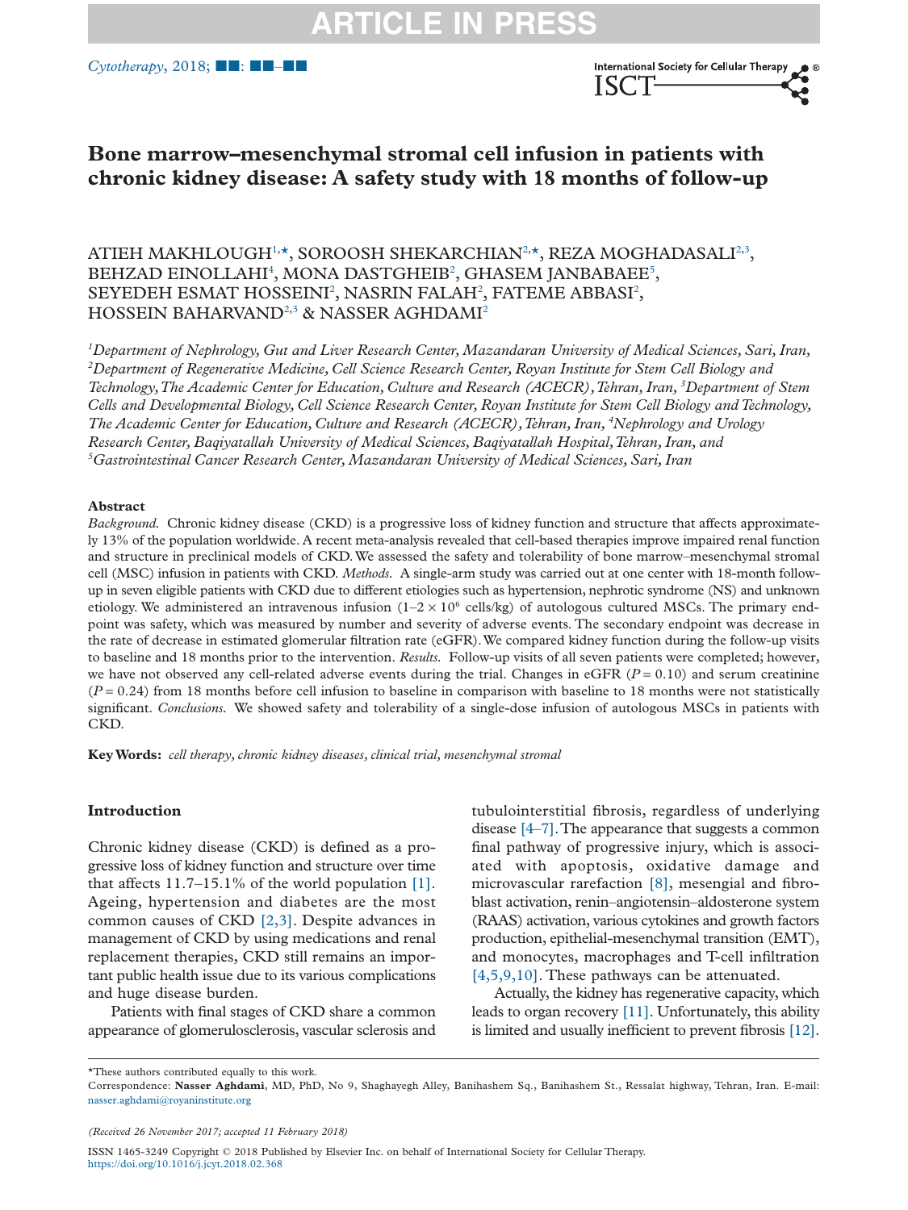<span id="page-1-4"></span><span id="page-1-3"></span>

# **Bone marrow–mesenchymal stromal cell infusion in patients with chronic kidney disease: A safety study with 18 months of follow-up**

ATIEH MAKHLOUGH½, SOROOSH SHEKARCHIAN2,[\\*,](#page-1-1) REZA MOGHADASAL[I2,](#page-1-2)[3](#page-1-3),  $\rm BEHZAD$   $\rm ENOLLAHI^{4},$   $\rm MONA$   $\rm DASTGHEIB^{2},$   $\rm GHASEM$   $\rm JANBABAEE^{5},$ SEYEDEH ESMAT HOSSEINI<sup>2</sup>, NASRIN FALAH<sup>2</sup>, FATEME ABBASI<sup>2</sup>, HOSSEIN BAHARVAND<sup>2[,3](#page-1-3)</sup> & NASSER AGHDAMI<sup>2</sup>

<span id="page-1-2"></span><span id="page-1-0"></span>*1 Department of Nephrology, Gut and Liver Research Center, Mazandaran University of Medical Sciences, Sari, Iran, 2 Department of Regenerative Medicine, Cell Science Research Center, Royan Institute for Stem Cell Biology and Technology,The Academic Center for Education, Culture and Research (ACECR),Tehran, Iran, <sup>3</sup> Department of Stem Cells and Developmental Biology, Cell Science Research Center, Royan Institute for Stem Cell Biology and Technology, The Academic Center for Education, Culture and Research (ACECR),Tehran, Iran, <sup>4</sup> Nephrology and Urology Research Center, Baqiyatallah University of Medical Sciences, Baqiyatallah Hospital,Tehran, Iran, and 5 Gastrointestinal Cancer Research Center, Mazandaran University of Medical Sciences, Sari, Iran*

#### <span id="page-1-5"></span>**Abstract**

*Background.* Chronic kidney disease (CKD) is a progressive loss of kidney function and structure that affects approximately 13% of the population worldwide. A recent meta-analysis revealed that cell-based therapies improve impaired renal function and structure in preclinical models of CKD. We assessed the safety and tolerability of bone marrow–mesenchymal stromal cell (MSC) infusion in patients with CKD. *Methods.* A single-arm study was carried out at one center with 18-month followup in seven eligible patients with CKD due to different etiologies such as hypertension, nephrotic syndrome (NS) and unknown etiology. We administered an intravenous infusion  $(1-2 \times 10^6 \text{ cells/kg})$  of autologous cultured MSCs. The primary endpoint was safety, which was measured by number and severity of adverse events. The secondary endpoint was decrease in the rate of decrease in estimated glomerular filtration rate (eGFR).We compared kidney function during the follow-up visits to baseline and 18 months prior to the intervention. *Results.* Follow-up visits of all seven patients were completed; however, we have not observed any cell-related adverse events during the trial. Changes in eGFR  $(P = 0.10)$  and serum creatinine  $(P = 0.24)$  from 18 months before cell infusion to baseline in comparison with baseline to 18 months were not statistically significant. *Conclusions.* We showed safety and tolerability of a single-dose infusion of autologous MSCs in patients with CKD.

**KeyWords:** *cell therapy, chronic kidney diseases, clinical trial, mesenchymal stromal*

# **Introduction**

Chronic kidney disease (CKD) is defined as a progressive loss of kidney function and structure over time that affects 11.7–15.1% of the world population [\[1\].](#page-9-0) Ageing, hypertension and diabetes are the most common causes of CKD [\[2,3\].](#page-9-1) Despite advances in management of CKD by using medications and renal replacement therapies, CKD still remains an important public health issue due to its various complications and huge disease burden.

Patients with final stages of CKD share a common appearance of glomerulosclerosis, vascular sclerosis and tubulointerstitial fibrosis, regardless of underlying disease  $[4-7]$ . The appearance that suggests a common final pathway of progressive injury, which is associated with apoptosis, oxidative damage and microvascular rarefaction [\[8\],](#page-9-3) mesengial and fibroblast activation, renin–angiotensin–aldosterone system (RAAS) activation, various cytokines and growth factors production, epithelial-mesenchymal transition (EMT), and monocytes, macrophages and T-cell infiltration [\[4,5,9,10\].](#page-9-2) These pathways can be attenuated.

Actually, the kidney has regenerative capacity, which leads to organ recovery [\[11\].](#page-9-4) Unfortunately, this ability is limited and usually inefficient to prevent fibrosis [\[12\].](#page-9-5)

<span id="page-1-1"></span>\*These authors contributed equally to this work.

*(Received 26 November 2017; accepted 11 February 2018)*

Correspondence: **Nasser Aghdami**, MD, PhD, No 9, Shaghayegh Alley, Banihashem Sq., Banihashem St., Ressalat highway, Tehran, Iran. E-mail: [nasser.aghdami@royaninstitute.org](mailto:nasser.aghdami@royaninstitute.org)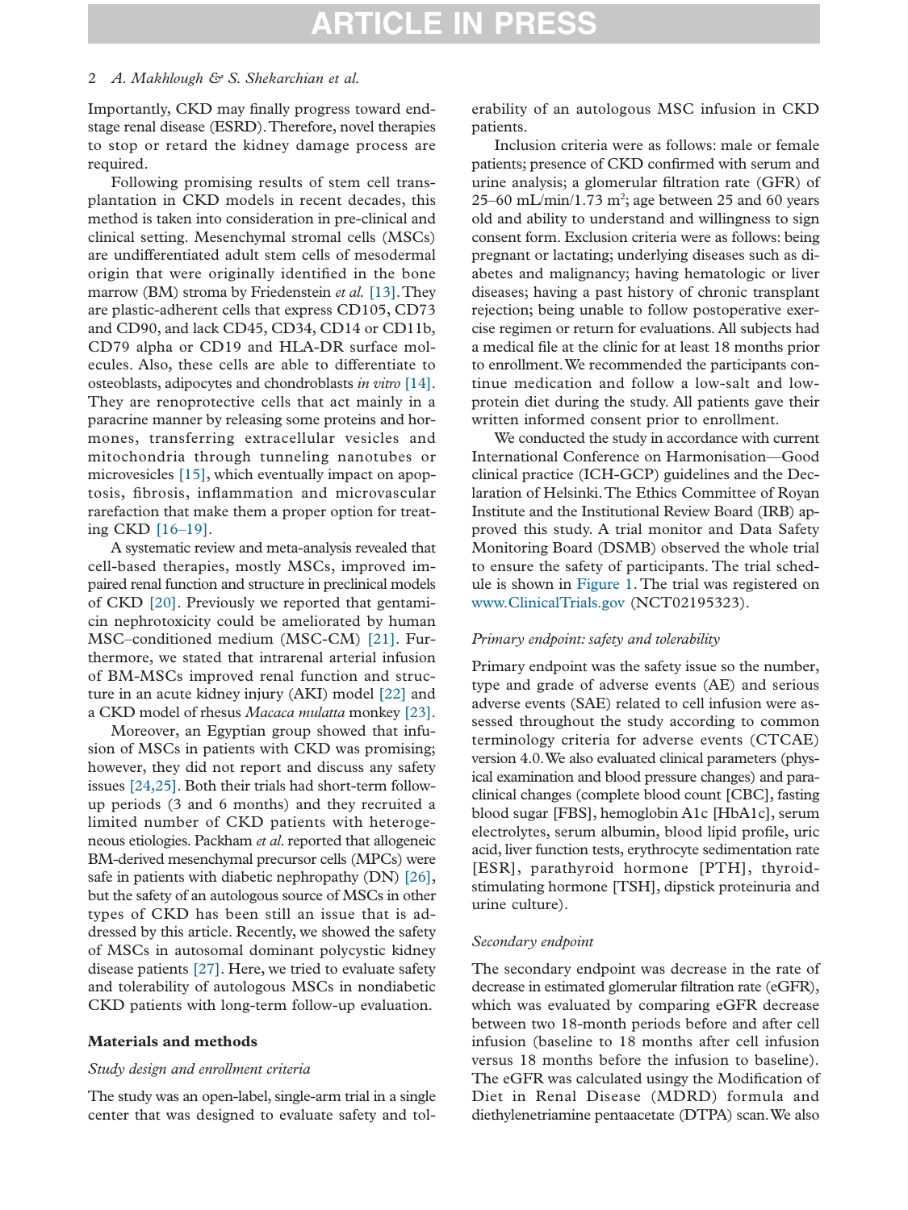#### 2 *A. Makhlough & S. Shekarchian et al.*

Importantly, CKD may finally progress toward endstage renal disease (ESRD).Therefore, novel therapies to stop or retard the kidney damage process are required.

Following promising results of stem cell transplantation in CKD models in recent decades, this method is taken into consideration in pre-clinical and clinical setting. Mesenchymal stromal cells (MSCs) are undifferentiated adult stem cells of mesodermal origin that were originally identified in the bone marrow (BM) stroma by Friedenstein *et al.* [\[13\].](#page-9-6)They are plastic-adherent cells that express CD105, CD73 and CD90, and lack CD45, CD34, CD14 or CD11b, CD79 alpha or CD19 and HLA-DR surface molecules. Also, these cells are able to differentiate to osteoblasts, adipocytes and chondroblasts *in vitro* [\[14\].](#page-9-7) They are renoprotective cells that act mainly in a paracrine manner by releasing some proteins and hormones, transferring extracellular vesicles and mitochondria through tunneling nanotubes or microvesicles [\[15\],](#page-9-8) which eventually impact on apoptosis, fibrosis, inflammation and microvascular rarefaction that make them a proper option for treating CKD [\[16–19\].](#page-9-9)

A systematic review and meta-analysis revealed that cell-based therapies, mostly MSCs, improved impaired renal function and structure in preclinical models of CKD [\[20\].](#page-9-10) Previously we reported that gentamicin nephrotoxicity could be ameliorated by human MSC–conditioned medium (MSC-CM) [\[21\].](#page-10-0) Furthermore, we stated that intrarenal arterial infusion of BM-MSCs improved renal function and structure in an acute kidney injury (AKI) model [\[22\]](#page-10-1) and a CKD model of rhesus *Macaca mulatta* monkey [\[23\].](#page-10-2)

Moreover, an Egyptian group showed that infusion of MSCs in patients with CKD was promising; however, they did not report and discuss any safety issues [\[24,25\].](#page-10-3) Both their trials had short-term followup periods (3 and 6 months) and they recruited a limited number of CKD patients with heterogeneous etiologies. Packham *et al*. reported that allogeneic BM-derived mesenchymal precursor cells (MPCs) were safe in patients with diabetic nephropathy (DN) [\[26\],](#page-10-4) but the safety of an autologous source of MSCs in other types of CKD has been still an issue that is addressed by this article. Recently, we showed the safety of MSCs in autosomal dominant polycystic kidney disease patients [\[27\].](#page-10-5) Here, we tried to evaluate safety and tolerability of autologous MSCs in nondiabetic CKD patients with long-term follow-up evaluation.

### **Materials and methods**

#### *Study design and enrollment criteria*

The study was an open-label, single-arm trial in a single center that was designed to evaluate safety and tol-

erability of an autologous MSC infusion in CKD patients.

Inclusion criteria were as follows: male or female patients; presence of CKD confirmed with serum and urine analysis; a glomerular filtration rate (GFR) of 25–60 mL/min/1.73 m<sup>2</sup>; age between 25 and 60 years old and ability to understand and willingness to sign consent form. Exclusion criteria were as follows: being pregnant or lactating; underlying diseases such as diabetes and malignancy; having hematologic or liver diseases; having a past history of chronic transplant rejection; being unable to follow postoperative exercise regimen or return for evaluations. All subjects had a medical file at the clinic for at least 18 months prior to enrollment.We recommended the participants continue medication and follow a low-salt and lowprotein diet during the study. All patients gave their written informed consent prior to enrollment.

We conducted the study in accordance with current International Conference on Harmonisation—Good clinical practice (ICH-GCP) guidelines and the Declaration of Helsinki.The Ethics Committee of Royan Institute and the Institutional Review Board (IRB) approved this study. A trial monitor and Data Safety Monitoring Board (DSMB) observed the whole trial to ensure the safety of participants. The trial schedule is shown in [Figure 1.](#page-3-0) The trial was registered on [www.ClinicalTrials.gov](http://www.ClinicalTrials.gov) (NCT02195323).

### *Primary endpoint: safety and tolerability*

Primary endpoint was the safety issue so the number, type and grade of adverse events (AE) and serious adverse events (SAE) related to cell infusion were assessed throughout the study according to common terminology criteria for adverse events (CTCAE) version 4.0.We also evaluated clinical parameters (physical examination and blood pressure changes) and paraclinical changes (complete blood count [CBC], fasting blood sugar [FBS], hemoglobin A1c [HbA1c], serum electrolytes, serum albumin, blood lipid profile, uric acid, liver function tests, erythrocyte sedimentation rate [ESR], parathyroid hormone [PTH], thyroidstimulating hormone [TSH], dipstick proteinuria and urine culture).

#### *Secondary endpoint*

The secondary endpoint was decrease in the rate of decrease in estimated glomerular filtration rate (eGFR), which was evaluated by comparing eGFR decrease between two 18-month periods before and after cell infusion (baseline to 18 months after cell infusion versus 18 months before the infusion to baseline). The eGFR was calculated usingy the Modification of Diet in Renal Disease (MDRD) formula and diethylenetriamine pentaacetate (DTPA) scan.We also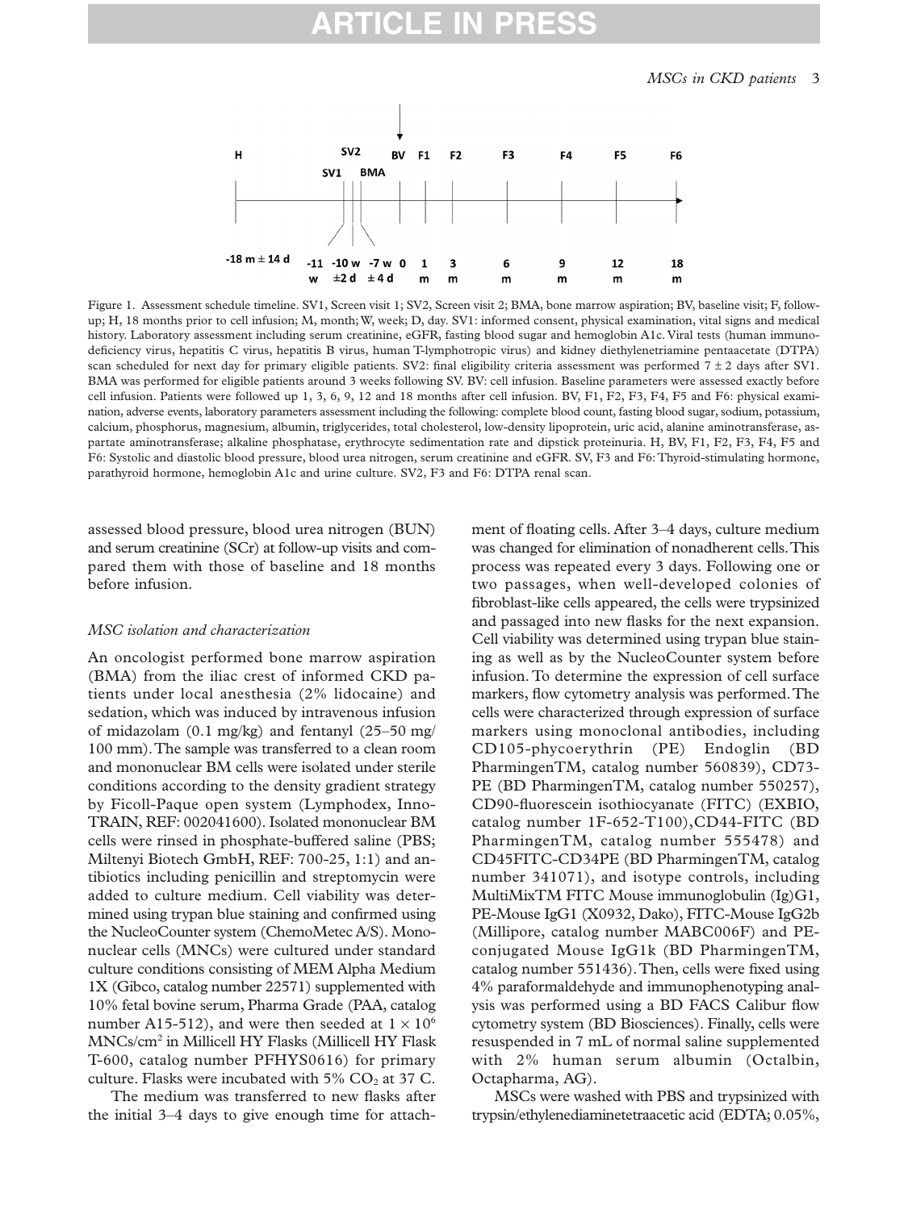# **PR**

<span id="page-3-0"></span>

Figure 1. Assessment schedule timeline. SV1, Screen visit 1; SV2, Screen visit 2; BMA, bone marrow aspiration; BV, baseline visit; F, followup; H, 18 months prior to cell infusion; M, month;W, week; D, day. SV1: informed consent, physical examination, vital signs and medical history. Laboratory assessment including serum creatinine, eGFR, fasting blood sugar and hemoglobin A1c. Viral tests (human immunodeficiency virus, hepatitis C virus, hepatitis B virus, human T-lymphotropic virus) and kidney diethylenetriamine pentaacetate (DTPA) scan scheduled for next day for primary eligible patients. SV2: final eligibility criteria assessment was performed  $7 \pm 2$  days after SV1. BMA was performed for eligible patients around 3 weeks following SV. BV: cell infusion. Baseline parameters were assessed exactly before cell infusion. Patients were followed up 1, 3, 6, 9, 12 and 18 months after cell infusion. BV, F1, F2, F3, F4, F5 and F6: physical examination, adverse events, laboratory parameters assessment including the following: complete blood count, fasting blood sugar, sodium, potassium, calcium, phosphorus, magnesium, albumin, triglycerides, total cholesterol, low-density lipoprotein, uric acid, alanine aminotransferase, aspartate aminotransferase; alkaline phosphatase, erythrocyte sedimentation rate and dipstick proteinuria. H, BV, F1, F2, F3, F4, F5 and F6: Systolic and diastolic blood pressure, blood urea nitrogen, serum creatinine and eGFR. SV, F3 and F6:Thyroid-stimulating hormone, parathyroid hormone, hemoglobin A1c and urine culture. SV2, F3 and F6: DTPA renal scan.

assessed blood pressure, blood urea nitrogen (BUN) and serum creatinine (SCr) at follow-up visits and compared them with those of baseline and 18 months before infusion.

#### *MSC isolation and characterization*

An oncologist performed bone marrow aspiration (BMA) from the iliac crest of informed CKD patients under local anesthesia (2% lidocaine) and sedation, which was induced by intravenous infusion of midazolam (0.1 mg/kg) and fentanyl (25–50 mg/ 100 mm).The sample was transferred to a clean room and mononuclear BM cells were isolated under sterile conditions according to the density gradient strategy by Ficoll-Paque open system (Lymphodex, Inno-TRAIN, REF: 002041600). Isolated mononuclear BM cells were rinsed in phosphate-buffered saline (PBS; Miltenyi Biotech GmbH, REF: 700-25, 1:1) and antibiotics including penicillin and streptomycin were added to culture medium. Cell viability was determined using trypan blue staining and confirmed using the NucleoCounter system (ChemoMetec A/S). Mononuclear cells (MNCs) were cultured under standard culture conditions consisting of MEM Alpha Medium 1X (Gibco, catalog number 22571) supplemented with 10% fetal bovine serum, Pharma Grade (PAA, catalog number A15-512), and were then seeded at  $1 \times 10^6$ MNCs/cm2 in Millicell HY Flasks (Millicell HY Flask T-600, catalog number PFHYS0616) for primary culture. Flasks were incubated with  $5\%$  CO<sub>2</sub> at 37 C.

The medium was transferred to new flasks after the initial 3–4 days to give enough time for attach-

ment of floating cells. After 3–4 days, culture medium was changed for elimination of nonadherent cells.This process was repeated every 3 days. Following one or two passages, when well-developed colonies of fibroblast-like cells appeared, the cells were trypsinized and passaged into new flasks for the next expansion. Cell viability was determined using trypan blue staining as well as by the NucleoCounter system before infusion. To determine the expression of cell surface markers, flow cytometry analysis was performed.The cells were characterized through expression of surface markers using monoclonal antibodies, including CD105-phycoerythrin (PE) Endoglin (BD PharmingenTM, catalog number 560839), CD73- PE (BD PharmingenTM, catalog number 550257), CD90-fluorescein isothiocyanate (FITC) (EXBIO, catalog number 1F-652-T100),CD44-FITC (BD PharmingenTM, catalog number 555478) and CD45FITC-CD34PE (BD PharmingenTM, catalog number 341071), and isotype controls, including MultiMixTM FITC Mouse immunoglobulin (Ig)G1, PE-Mouse IgG1 (X0932, Dako), FITC-Mouse IgG2b (Millipore, catalog number MABC006F) and PEconjugated Mouse IgG1k (BD PharmingenTM, catalog number 551436).Then, cells were fixed using 4% paraformaldehyde and immunophenotyping analysis was performed using a BD FACS Calibur flow cytometry system (BD Biosciences). Finally, cells were resuspended in 7 mL of normal saline supplemented with 2% human serum albumin (Octalbin, Octapharma, AG).

MSCs were washed with PBS and trypsinized with trypsin/ethylenediaminetetraacetic acid (EDTA; 0.05%,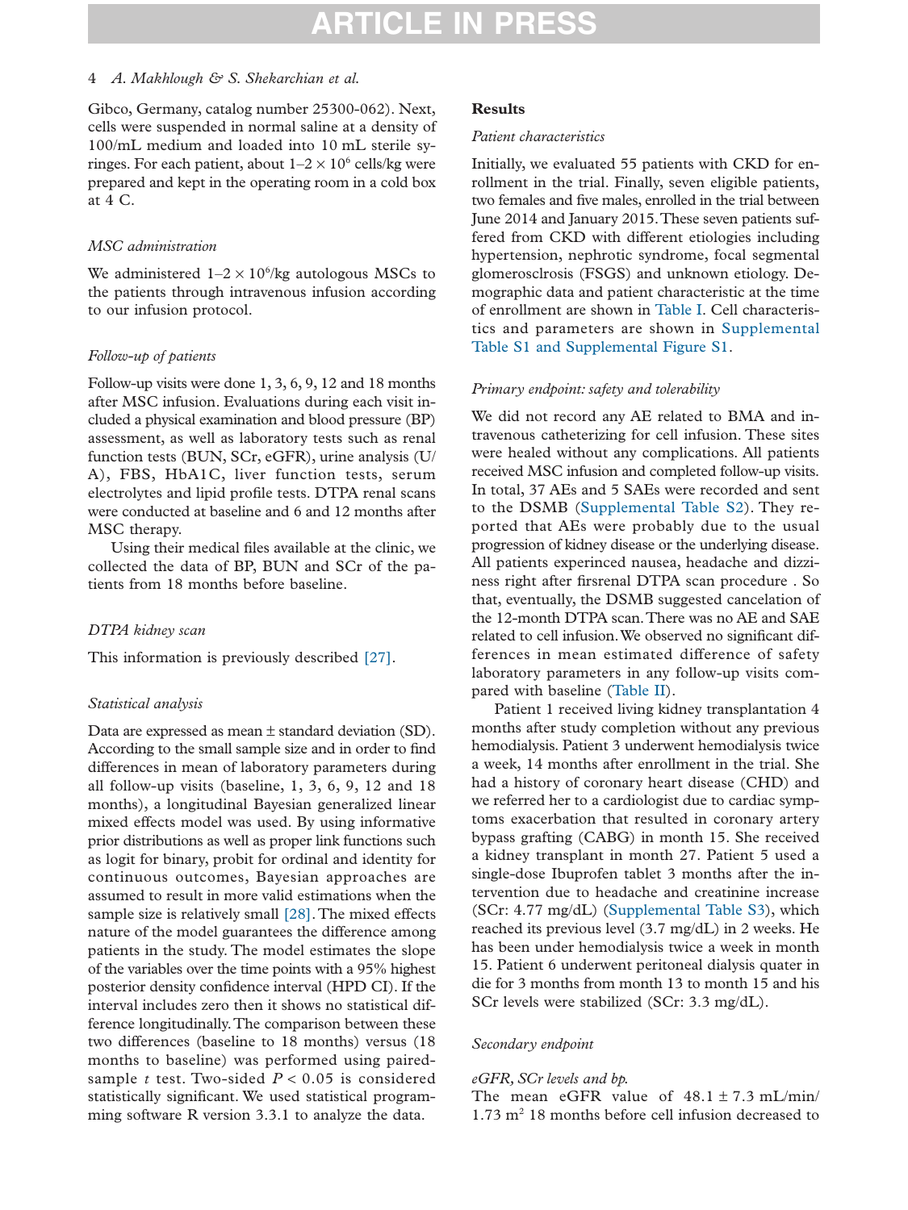## 4 *A. Makhlough & S. Shekarchian et al.*

Gibco, Germany, catalog number 25300-062). Next, cells were suspended in normal saline at a density of 100/mL medium and loaded into 10 mL sterile syringes. For each patient, about  $1-2 \times 10^6$  cells/kg were prepared and kept in the operating room in a cold box at 4 C.

### *MSC administration*

We administered  $1-2 \times 10^6$ /kg autologous MSCs to the patients through intravenous infusion according to our infusion protocol.

### *Follow-up of patients*

Follow-up visits were done 1, 3, 6, 9, 12 and 18 months after MSC infusion. Evaluations during each visit included a physical examination and blood pressure (BP) assessment, as well as laboratory tests such as renal function tests (BUN, SCr, eGFR), urine analysis (U/ A), FBS, HbA1C, liver function tests, serum electrolytes and lipid profile tests. DTPA renal scans were conducted at baseline and 6 and 12 months after MSC therapy.

Using their medical files available at the clinic, we collected the data of BP, BUN and SCr of the patients from 18 months before baseline.

# *DTPA kidney scan*

This information is previously described [\[27\].](#page-10-5)

# *Statistical analysis*

Data are expressed as mean ± standard deviation (SD). According to the small sample size and in order to find differences in mean of laboratory parameters during all follow-up visits (baseline, 1, 3, 6, 9, 12 and 18 months), a longitudinal Bayesian generalized linear mixed effects model was used. By using informative prior distributions as well as proper link functions such as logit for binary, probit for ordinal and identity for continuous outcomes, Bayesian approaches are assumed to result in more valid estimations when the sample size is relatively small [\[28\].](#page-10-6) The mixed effects nature of the model guarantees the difference among patients in the study. The model estimates the slope of the variables over the time points with a 95% highest posterior density confidence interval (HPD CI). If the interval includes zero then it shows no statistical difference longitudinally.The comparison between these two differences (baseline to 18 months) versus (18 months to baseline) was performed using pairedsample  $t$  test. Two-sided  $P < 0.05$  is considered statistically significant. We used statistical programming software R version 3.3.1 to analyze the data.

# **Results**

#### *Patient characteristics*

Initially, we evaluated 55 patients with CKD for enrollment in the trial. Finally, seven eligible patients, two females and five males, enrolled in the trial between June 2014 and January 2015.These seven patients suffered from CKD with different etiologies including hypertension, nephrotic syndrome, focal segmental glomerosclrosis (FSGS) and unknown etiology. Demographic data and patient characteristic at the time of enrollment are shown in [Table I.](#page-5-0) Cell characteristics and parameters are shown in Supplemental Table S1 and Supplemental Figure S1.

#### *Primary endpoint: safety and tolerability*

We did not record any AE related to BMA and intravenous catheterizing for cell infusion. These sites were healed without any complications. All patients received MSC infusion and completed follow-up visits. In total, 37 AEs and 5 SAEs were recorded and sent to the DSMB (Supplemental Table S2). They reported that AEs were probably due to the usual progression of kidney disease or the underlying disease. All patients experinced nausea, headache and dizziness right after firsrenal DTPA scan procedure . So that, eventually, the DSMB suggested cancelation of the 12-month DTPA scan.There was no AE and SAE related to cell infusion.We observed no significant differences in mean estimated difference of safety laboratory parameters in any follow-up visits compared with baseline [\(Table II\)](#page-6-0).

Patient 1 received living kidney transplantation 4 months after study completion without any previous hemodialysis. Patient 3 underwent hemodialysis twice a week, 14 months after enrollment in the trial. She had a history of coronary heart disease (CHD) and we referred her to a cardiologist due to cardiac symptoms exacerbation that resulted in coronary artery bypass grafting (CABG) in month 15. She received a kidney transplant in month 27. Patient 5 used a single-dose Ibuprofen tablet 3 months after the intervention due to headache and creatinine increase (SCr: 4.77 mg/dL) (Supplemental Table S3), which reached its previous level (3.7 mg/dL) in 2 weeks. He has been under hemodialysis twice a week in month 15. Patient 6 underwent peritoneal dialysis quater in die for 3 months from month 13 to month 15 and his SCr levels were stabilized (SCr: 3.3 mg/dL).

#### *Secondary endpoint*

#### *eGFR, SCr levels and bp.*

The mean eGFR value of  $48.1 \pm 7.3$  mL/min/  $1.73 \text{ m}^2$  18 months before cell infusion decreased to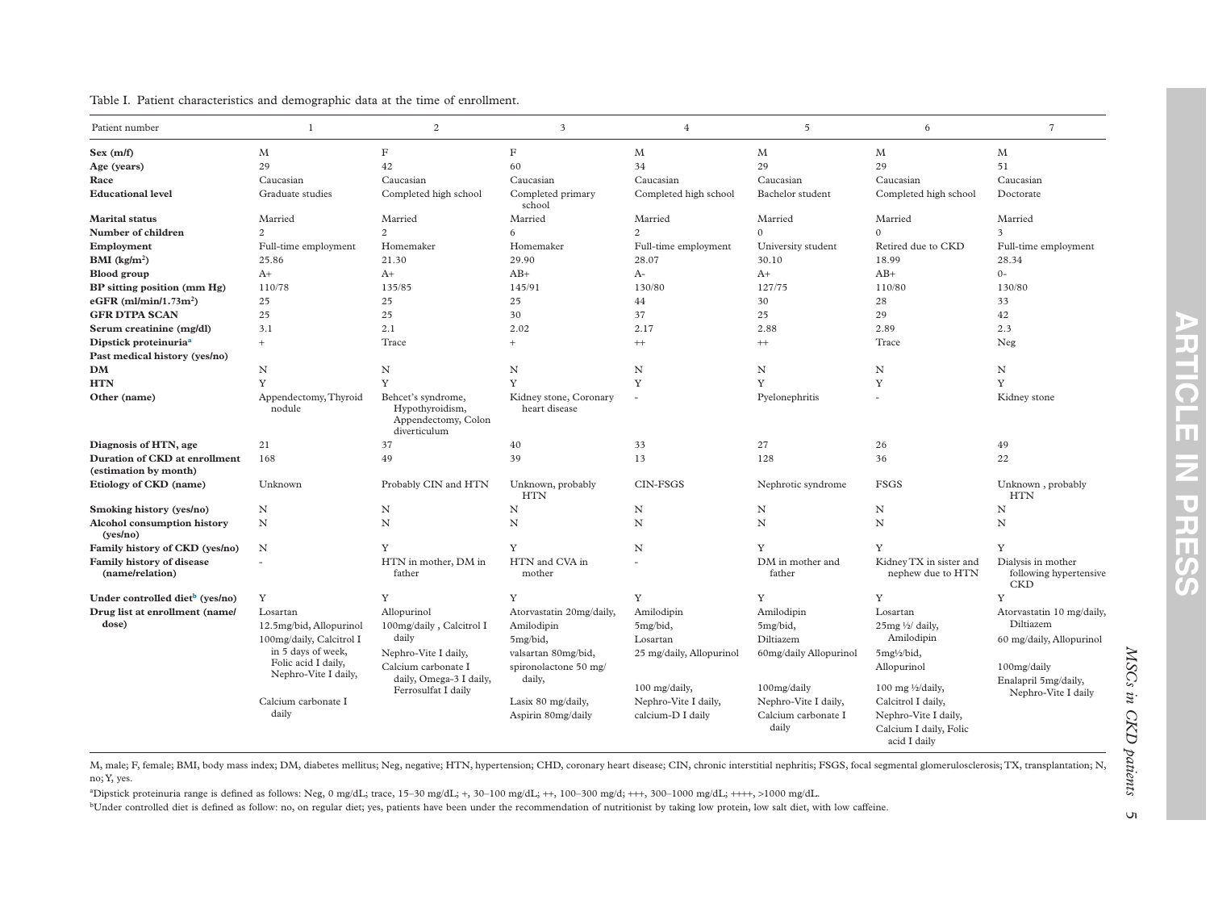| Patient number                                         | $\mathbf{1}$                                                                                                    | $\mathbf{2}$                                   | 3                                        | $\overline{4}$                            | 5                                                    | 6                                                                                    | $\overline{7}$                                             |  |
|--------------------------------------------------------|-----------------------------------------------------------------------------------------------------------------|------------------------------------------------|------------------------------------------|-------------------------------------------|------------------------------------------------------|--------------------------------------------------------------------------------------|------------------------------------------------------------|--|
| Sex (m/f)                                              | M                                                                                                               | $\rm F$                                        | $_{\rm F}$                               | M                                         | M                                                    | M                                                                                    | M                                                          |  |
| Age (years)                                            | 29                                                                                                              | 42                                             | 60                                       | 34                                        | 29                                                   | 29                                                                                   | 51                                                         |  |
| Race                                                   | Caucasian                                                                                                       | Caucasian                                      | Caucasian                                | Caucasian                                 | Caucasian                                            | Caucasian                                                                            | Caucasian                                                  |  |
| <b>Educational level</b>                               | Graduate studies                                                                                                | Completed high school                          | Completed primary<br>school              | Completed high school                     | Bachelor student                                     | Completed high school                                                                | Doctorate                                                  |  |
| <b>Marital</b> status                                  | Married                                                                                                         | Married                                        | Married                                  | Married                                   | Married                                              | Married                                                                              | Married                                                    |  |
| Number of children                                     | $\mathfrak{D}$                                                                                                  | 2                                              | 6                                        | 2                                         | $\mathbf{0}$                                         | $\mathbf{0}$                                                                         | $\overline{\mathbf{3}}$                                    |  |
| Employment                                             | Full-time employment                                                                                            | Homemaker                                      | Homemaker                                | Full-time employment                      | University student                                   | Retired due to CKD                                                                   | Full-time employment                                       |  |
| BMI (kg/m <sup>2</sup> )                               | 25.86                                                                                                           | 21.30                                          | 29.90                                    | 28.07                                     | 30.10                                                | 18.99                                                                                | 28.34                                                      |  |
| <b>Blood</b> group                                     | $A+$                                                                                                            | $A+$                                           | $AB+$                                    | A-                                        | $A+$                                                 | $AB+$                                                                                | $O -$                                                      |  |
| BP sitting position (mm Hg)                            | 110/78                                                                                                          | 135/85                                         | 145/91                                   | 130/80                                    | 127/75                                               | 110/80                                                                               | 130/80                                                     |  |
| eGFR $(ml/min/1.73m2)$                                 | 25                                                                                                              | 25                                             | 25                                       | 44                                        | 30                                                   | 28                                                                                   | 33                                                         |  |
| <b>GFR DTPA SCAN</b>                                   | 25                                                                                                              | 25                                             | 30                                       | 37                                        | 25                                                   | 29                                                                                   | 42                                                         |  |
| Serum creatinine (mg/dl)                               | 3.1                                                                                                             | 2.1                                            | 2.02                                     | 2.17                                      | 2.88                                                 | 2.89                                                                                 | 2.3                                                        |  |
| Dipstick proteinuria <sup>a</sup>                      | $\ddot{}$                                                                                                       | Trace                                          | $+$                                      | $^{+}$                                    | $^{+}$                                               | Trace                                                                                | Neg                                                        |  |
| Past medical history (yes/no)                          |                                                                                                                 |                                                |                                          |                                           |                                                      |                                                                                      |                                                            |  |
| DM                                                     | $_{\rm N}$                                                                                                      | $_{\rm N}$                                     | N                                        | $_{\rm N}$                                | N                                                    | $\rm N$                                                                              | $_{\rm N}$                                                 |  |
| <b>HTN</b>                                             | Y                                                                                                               | Y                                              | Y                                        | Y                                         | Y                                                    | Y                                                                                    | Y                                                          |  |
| Other (name)                                           | Appendectomy, Thyroid<br>Behcet's syndrome,<br>nodule<br>Hypothyroidism,<br>Appendectomy, Colon<br>diverticulum |                                                | Kidney stone, Coronary<br>heart disease  | Pyelonephritis<br>$\sim$                  |                                                      | Kidney stone                                                                         |                                                            |  |
| Diagnosis of HTN, age                                  | 21                                                                                                              | 37                                             | 40                                       | 33                                        | 27                                                   | 26                                                                                   | 49                                                         |  |
| Duration of CKD at enrollment<br>(estimation by month) | 168                                                                                                             | 49                                             | 39                                       | 13                                        | 128                                                  | 36                                                                                   | 22                                                         |  |
| Etiology of CKD (name)                                 | Unknown                                                                                                         | Probably CIN and HTN                           | Unknown, probably<br><b>HTN</b>          | CIN-FSGS                                  | Nephrotic syndrome                                   | <b>FSGS</b>                                                                          | Unknown, probably<br><b>HTN</b>                            |  |
| Smoking history (yes/no)                               | N                                                                                                               | N                                              | $\rm N$                                  | N                                         | N                                                    | N                                                                                    | N                                                          |  |
| Alcohol consumption history<br>(yes/no)                | N                                                                                                               | N                                              | $\rm N$                                  | N                                         | N                                                    | $\mathbf N$                                                                          | N                                                          |  |
| Family history of CKD (yes/no)                         | N                                                                                                               | Y                                              | Y                                        | $\mathbf N$                               | Y                                                    | Y                                                                                    | Y                                                          |  |
| Family history of disease<br>(name/relation)           |                                                                                                                 | HTN in mother, DM in<br>father                 | HTN and CVA in<br>mother                 | ä,                                        | DM in mother and<br>father                           | Kidney TX in sister and<br>nephew due to HTN                                         | Dialysis in mother<br>following hypertensive<br><b>CKD</b> |  |
| Under controlled diet <sup>b</sup> (yes/no)            | Y                                                                                                               | Y                                              | Y                                        | Y                                         | Y                                                    | Y                                                                                    | Y                                                          |  |
| Drug list at enrollment (name/<br>dose)                | Losartan<br>12.5mg/bid, Allopurinol                                                                             | Allopurinol<br>100mg/daily, Calcitrol I        | Atorvastatin 20mg/daily,<br>Amilodipin   | Amilodipin<br>5mg/bid,                    | Amilodipin<br>5mg/bid,                               | Losartan<br>25mg 1/2/ daily,                                                         | Atorvastatin 10 mg/daily,<br>Diltiazem                     |  |
|                                                        | 100mg/daily, Calcitrol I                                                                                        | daily                                          | 5mg/bid,                                 | Losartan                                  | Diltiazem                                            | Amilodipin                                                                           | 60 mg/daily, Allopurinol                                   |  |
|                                                        | in 5 days of week,                                                                                              | Nephro-Vite I daily,                           | valsartan 80mg/bid,                      | 25 mg/daily, Allopurinol                  | 60mg/daily Allopurinol                               | 5mg1/2/bid,                                                                          |                                                            |  |
|                                                        | Folic acid I daily,                                                                                             | Calcium carbonate I                            | spironolactone 50 mg/                    |                                           |                                                      | Allopurinol                                                                          | 100mg/daily                                                |  |
|                                                        | Nephro-Vite I daily,                                                                                            | daily, Omega-3 I daily,<br>Ferrosulfat I daily | daily,                                   | 100 mg/daily,                             | 100mg/daily                                          | 100 mg 1/2/daily,                                                                    | Enalapril 5mg/daily,<br>Nephro-Vite I daily                |  |
|                                                        | Calcium carbonate I<br>daily                                                                                    |                                                | Lasix 80 mg/daily,<br>Aspirin 80mg/daily | Nephro-Vite I daily,<br>calcium-D I daily | Nephro-Vite I daily,<br>Calcium carbonate I<br>daily | Calcitrol I daily,<br>Nephro-Vite I daily,<br>Calcium I daily, Folic<br>acid I daily |                                                            |  |

<span id="page-5-2"></span><span id="page-5-1"></span><span id="page-5-0"></span>Table I. Patient characteristics and demographic data at the time of enrollment.

M, male; F, female; BMI, body mass index; DM, diabetes mellitus; Neg, negative; HTN, hypertension; CHD, coronary heart disease; CIN, chronic interstitial nephritis; FSGS, focal segmental glomerulosclerosis; TX, transplanta no;Y, yes.

aDipstick proteinuria range is defined as follows: Neg, 0 mg/dL; trace, 15–30 mg/dL; <sup>+</sup>, 30–100 mg/dL; ++, 100–300 mg/d; +++, 300–1000 mg/dL; ++++, <sup>&</sup>gt;1000 mg/dL.

<sup>b</sup>Under controlled diet is defined as follow: no, on regular diet; yes, patients have been under the recommendation of nutritionist by taking low protein, low salt diet, with low caffeine.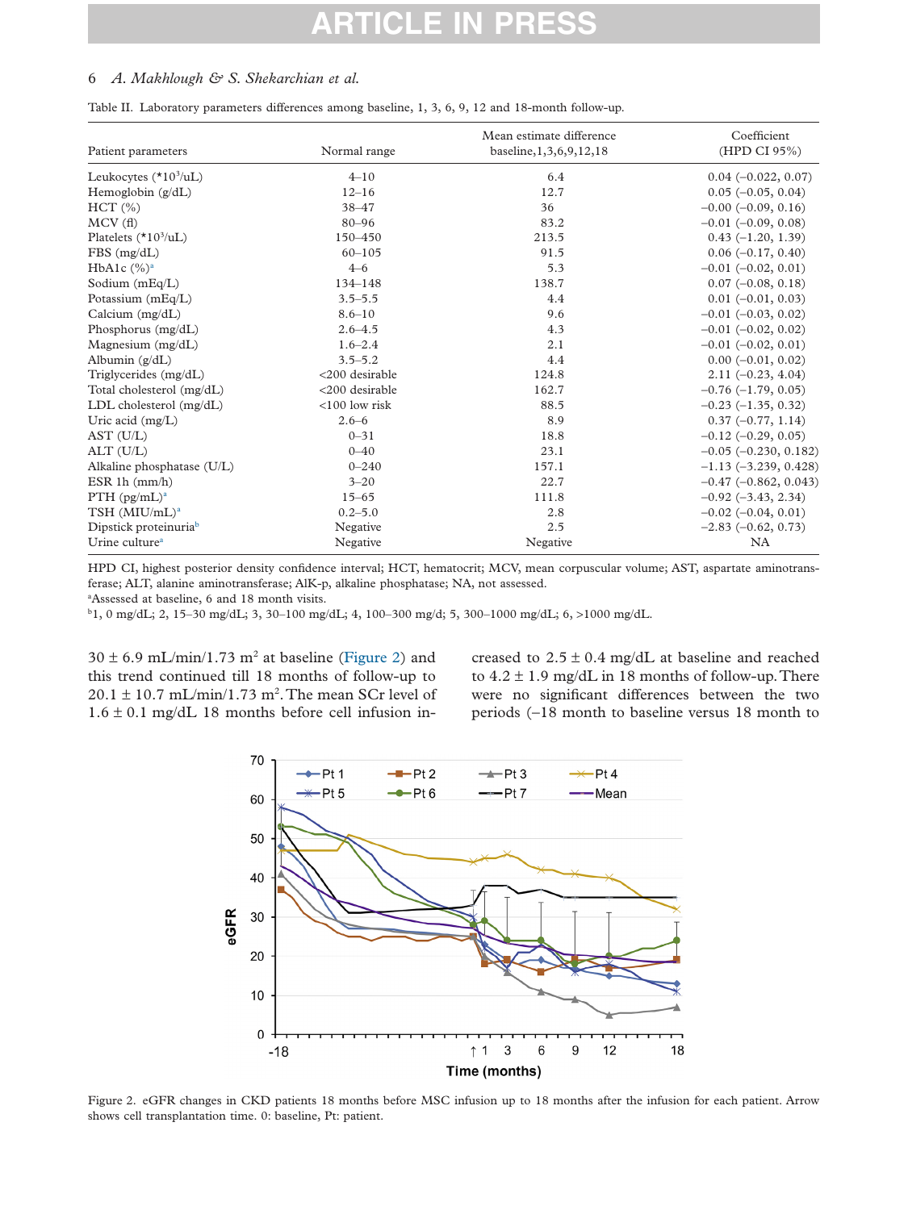# <span id="page-6-0"></span>6 *A. Makhlough & S. Shekarchian et al.*

Table II. Laboratory parameters differences among baseline, 1, 3, 6, 9, 12 and 18-month follow-up.

| Patient parameters                | Normal range     | Mean estimate difference<br>baseline, 1, 3, 6, 9, 12, 18 | Coefficient<br>(HPD CI 95%) |
|-----------------------------------|------------------|----------------------------------------------------------|-----------------------------|
| Leukocytes $(*103/uL)$            | $4 - 10$         | 6.4                                                      | $0.04(-0.022, 0.07)$        |
| Hemoglobin $(g/dL)$               | $12 - 16$        | 12.7                                                     | $0.05$ ( $-0.05$ , $0.04$ ) |
|                                   |                  | 36                                                       |                             |
| HCT(%)                            | $38 - 47$        |                                                          | $-0.00$ ( $-0.09$ , 0.16)   |
| MCV(f)                            | $80 - 96$        | 83.2                                                     | $-0.01$ $(-0.09, 0.08)$     |
| Platelets $(*10^3/\text{uL})$     | 150-450          | 213.5                                                    | $0.43(-1.20, 1.39)$         |
| $FBS$ (mg/dL)                     | $60 - 105$       | 91.5                                                     | $0.06(-0.17, 0.40)$         |
| HbA1c $(\%)^a$                    | $4 - 6$          | 5.3                                                      | $-0.01$ $(-0.02, 0.01)$     |
| Sodium $(mEq/L)$                  | $134 - 148$      | 138.7                                                    | $0.07$ ( $-0.08$ , $0.18$ ) |
| Potassium $(mEq/L)$               | $3.5 - 5.5$      | 4.4                                                      | $0.01$ (-0.01, 0.03)        |
| Calcium $(mg/dL)$                 | $8.6 - 10$       | 9.6                                                      | $-0.01$ $(-0.03, 0.02)$     |
| Phosphorus (mg/dL)                | $2.6 - 4.5$      | 4.3                                                      | $-0.01$ $(-0.02, 0.02)$     |
| Magnesium $(mg/dL)$               | $1.6 - 2.4$      | 2.1                                                      | $-0.01$ $(-0.02, 0.01)$     |
| Albumin (g/dL)                    | $3.5 - 5.2$      | 4.4                                                      | $0.00 (-0.01, 0.02)$        |
| Triglycerides (mg/dL)             | <200 desirable   | 124.8                                                    | $2.11(-0.23, 4.04)$         |
| Total cholesterol (mg/dL)         | <200 desirable   | 162.7                                                    | $-0.76(-1.79, 0.05)$        |
| LDL cholesterol $(mg/dL)$         | $<$ 100 low risk | 88.5                                                     | $-0.23$ $(-1.35, 0.32)$     |
| Uric acid $(mg/L)$                | $2.6 - 6$        | 8.9                                                      | $0.37(-0.77, 1.14)$         |
| AST (U/L)                         | $0 - 31$         | 18.8                                                     | $-0.12$ ( $-0.29$ , 0.05)   |
| ALT (U/L)                         | $0 - 40$         | 23.1                                                     | $-0.05$ $(-0.230, 0.182)$   |
| Alkaline phosphatase (U/L)        | $0 - 240$        | 157.1                                                    | $-1.13$ $(-3.239, 0.428)$   |
| ESR 1h $(mm/h)$                   | $3 - 20$         | 22.7                                                     | $-0.47$ ( $-0.862$ , 0.043) |
| PTH $(pg/mL)^a$                   | $15 - 65$        | 111.8                                                    | $-0.92$ $(-3.43, 2.34)$     |
| $TSH$ (MIU/mL) <sup>a</sup>       | $0.2 - 5.0$      | 2.8                                                      | $-0.02$ ( $-0.04$ , 0.01)   |
| Dipstick proteinuria <sup>b</sup> | Negative         | 2.5                                                      | $-2.83$ $(-0.62, 0.73)$     |
| Urine culture <sup>a</sup>        | Negative         | Negative                                                 | NA                          |

HPD CI, highest posterior density confidence interval; HCT, hematocrit; MCV, mean corpuscular volume; AST, aspartate aminotransferase; ALT, alanine aminotransferase; AlK-p, alkaline phosphatase; NA, not assessed.

<span id="page-6-1"></span>a Assessed at baseline, 6 and 18 month visits.

<span id="page-6-2"></span>b 1, 0 mg/dL; 2, 15–30 mg/dL; 3, 30–100 mg/dL; 4, 100–300 mg/d; 5, 300–1000 mg/dL; 6, >1000 mg/dL.

 $30 \pm 6.9$  mL/min/1.73 m<sup>2</sup> at baseline (Figure 2) and this trend continued till 18 months of follow-up to  $20.1 \pm 10.7$  mL/min/1.73 m<sup>2</sup>. The mean SCr level of  $1.6 \pm 0.1$  mg/dL 18 months before cell infusion in-

creased to  $2.5 \pm 0.4$  mg/dL at baseline and reached to  $4.2 \pm 1.9$  mg/dL in 18 months of follow-up. There were no significant differences between the two periods (−18 month to baseline versus 18 month to



Figure 2. eGFR changes in CKD patients 18 months before MSC infusion up to 18 months after the infusion for each patient. Arrow shows cell transplantation time. 0: baseline, Pt: patient.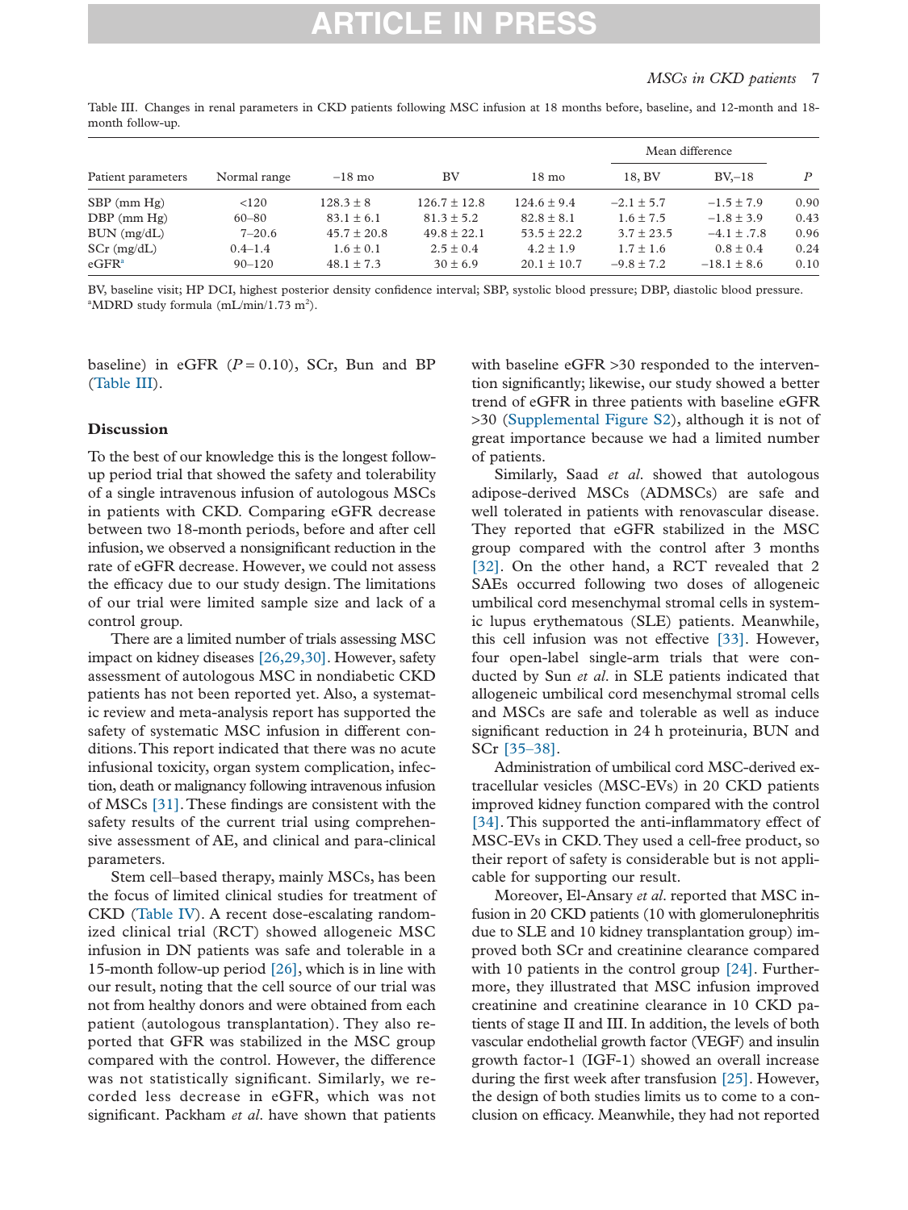# *MSCs in CKD patients* 7

Table III. Changes in renal parameters in CKD patients following MSC infusion at 18 months before, baseline, and 12-month and 18 month follow-up.

| Patient parameters | Normal range | $-18$ mo        | BV               | $18 \text{ mo}$ | Mean difference |                 |                  |
|--------------------|--------------|-----------------|------------------|-----------------|-----------------|-----------------|------------------|
|                    |              |                 |                  |                 | 18, BV          | $BV-18$         | $\boldsymbol{P}$ |
| $SBP$ (mm $Hg$ )   | < 120        | $128.3 \pm 8$   | $126.7 \pm 12.8$ | $124.6 \pm 9.4$ | $-2.1 \pm 5.7$  | $-1.5 \pm 7.9$  | 0.90             |
| $DBP$ (mm $Hg$ )   | $60 - 80$    | $83.1 \pm 6.1$  | $81.3 \pm 5.2$   | $82.8 \pm 8.1$  | $1.6 \pm 7.5$   | $-1.8 \pm 3.9$  | 0.43             |
| $BUN$ (mg/dL)      | $7 - 20.6$   | $45.7 \pm 20.8$ | $49.8 \pm 22.1$  | $53.5 \pm 22.2$ | $3.7 \pm 23.5$  | $-4.1 \pm .7.8$ | 0.96             |
| $SCr$ (mg/dL)      | $0.4 - 1.4$  | $1.6 \pm 0.1$   | $2.5 \pm 0.4$    | $4.2 \pm 1.9$   | $1.7 \pm 1.6$   | $0.8 \pm 0.4$   | 0.24             |
| eGFR <sup>a</sup>  | $90 - 120$   | $48.1 \pm 7.3$  | $30 \pm 6.9$     | $20.1 \pm 10.7$ | $-9.8 \pm 7.2$  | $-18.1 \pm 8.6$ | 0.10             |

<span id="page-7-0"></span>BV, baseline visit; HP DCI, highest posterior density confidence interval; SBP, systolic blood pressure; DBP, diastolic blood pressure. <sup>a</sup>MDRD study formula (mL/min/1.73 m<sup>2</sup>).

baseline) in eGFR  $(P = 0.10)$ , SCr, Bun and BP (Table III).

## **Discussion**

To the best of our knowledge this is the longest followup period trial that showed the safety and tolerability of a single intravenous infusion of autologous MSCs in patients with CKD. Comparing eGFR decrease between two 18-month periods, before and after cell infusion, we observed a nonsignificant reduction in the rate of eGFR decrease. However, we could not assess the efficacy due to our study design. The limitations of our trial were limited sample size and lack of a control group.

There are a limited number of trials assessing MSC impact on kidney diseases [\[26,29,30\].](#page-10-4) However, safety assessment of autologous MSC in nondiabetic CKD patients has not been reported yet. Also, a systematic review and meta-analysis report has supported the safety of systematic MSC infusion in different conditions.This report indicated that there was no acute infusional toxicity, organ system complication, infection, death or malignancy following intravenous infusion of MSCs [\[31\].](#page-10-7)These findings are consistent with the safety results of the current trial using comprehensive assessment of AE, and clinical and para-clinical parameters.

Stem cell–based therapy, mainly MSCs, has been the focus of limited clinical studies for treatment of CKD [\(Table IV\)](#page-8-0). A recent dose-escalating randomized clinical trial (RCT) showed allogeneic MSC infusion in DN patients was safe and tolerable in a 15-month follow-up period [\[26\],](#page-10-4) which is in line with our result, noting that the cell source of our trial was not from healthy donors and were obtained from each patient (autologous transplantation). They also reported that GFR was stabilized in the MSC group compared with the control. However, the difference was not statistically significant. Similarly, we recorded less decrease in eGFR, which was not significant. Packham *et al*. have shown that patients

with baseline eGFR > 30 responded to the intervention significantly; likewise, our study showed a better trend of eGFR in three patients with baseline eGFR >30 (Supplemental Figure S2), although it is not of great importance because we had a limited number of patients.

Similarly, Saad *et al*. showed that autologous adipose-derived MSCs (ADMSCs) are safe and well tolerated in patients with renovascular disease. They reported that eGFR stabilized in the MSC group compared with the control after 3 months [\[32\].](#page-10-8) On the other hand, a RCT revealed that 2 SAEs occurred following two doses of allogeneic umbilical cord mesenchymal stromal cells in systemic lupus erythematous (SLE) patients. Meanwhile, this cell infusion was not effective [\[33\].](#page-10-9) However, four open-label single-arm trials that were conducted by Sun *et al*. in SLE patients indicated that allogeneic umbilical cord mesenchymal stromal cells and MSCs are safe and tolerable as well as induce significant reduction in 24 h proteinuria, BUN and SCr [\[35–38\].](#page-10-10)

Administration of umbilical cord MSC-derived extracellular vesicles (MSC-EVs) in 20 CKD patients improved kidney function compared with the control [\[34\].](#page-10-11) This supported the anti-inflammatory effect of MSC-EVs in CKD.They used a cell-free product, so their report of safety is considerable but is not applicable for supporting our result.

Moreover, El-Ansary *et al*. reported that MSC infusion in 20 CKD patients (10 with glomerulonephritis due to SLE and 10 kidney transplantation group) improved both SCr and creatinine clearance compared with 10 patients in the control group [\[24\].](#page-10-3) Furthermore, they illustrated that MSC infusion improved creatinine and creatinine clearance in 10 CKD patients of stage II and III. In addition, the levels of both vascular endothelial growth factor (VEGF) and insulin growth factor-1 (IGF-1) showed an overall increase during the first week after transfusion [\[25\].](#page-10-12) However, the design of both studies limits us to come to a conclusion on efficacy. Meanwhile, they had not reported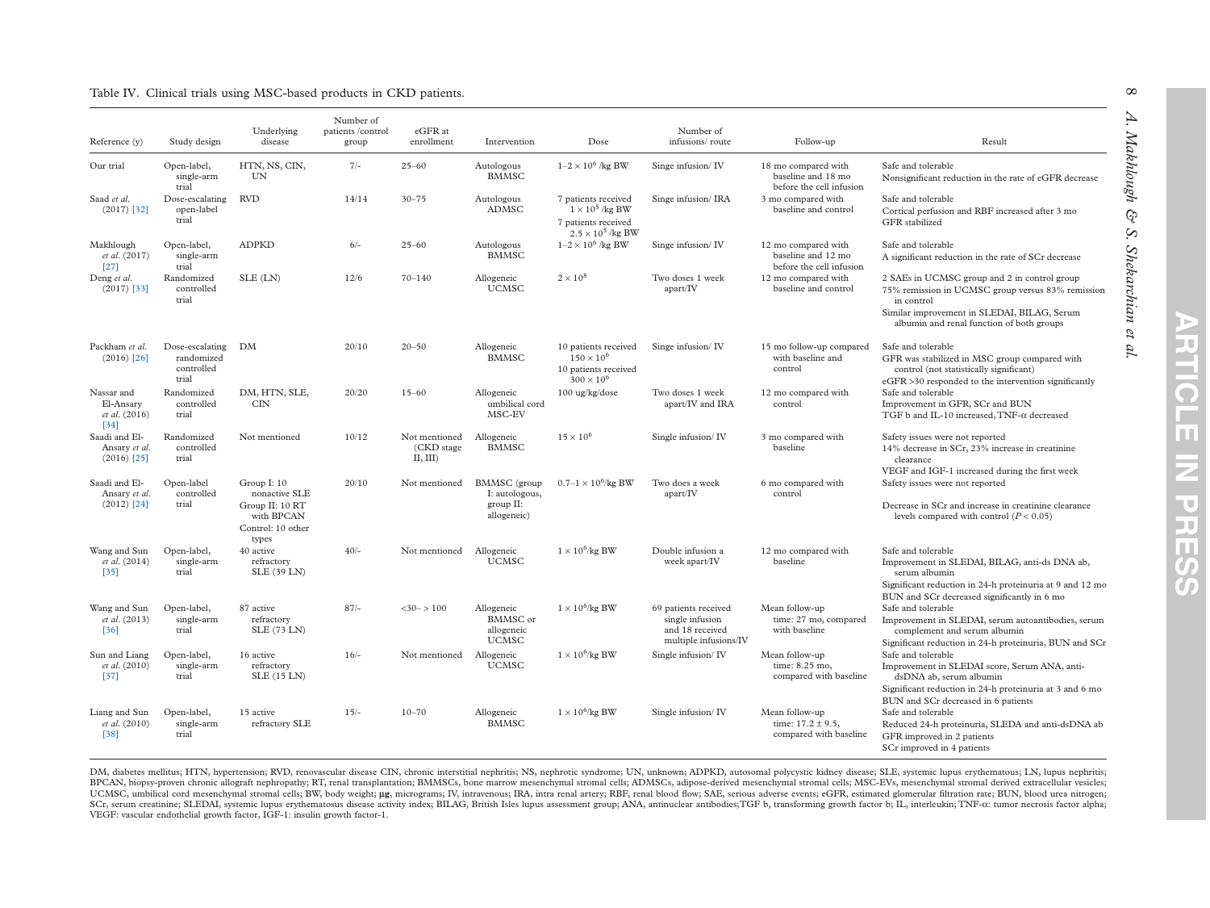<span id="page-8-0"></span>

| Reference (y)                                             | Study design                                         | Underlying<br>disease                                                                       | Number of<br>patients /control<br>group | eGFR at<br>enrollment                   | Intervention                                                | Dose                                                                                             | Number of<br>infusions/route                                                        | Follow-up                                                             | Result                                                                                                                                                                                                      |
|-----------------------------------------------------------|------------------------------------------------------|---------------------------------------------------------------------------------------------|-----------------------------------------|-----------------------------------------|-------------------------------------------------------------|--------------------------------------------------------------------------------------------------|-------------------------------------------------------------------------------------|-----------------------------------------------------------------------|-------------------------------------------------------------------------------------------------------------------------------------------------------------------------------------------------------------|
| Our trial                                                 | Open-label,<br>single-arm<br>trial                   | HTN, NS, CIN,<br>UN                                                                         | $7/-$                                   | $25 - 60$                               | Autologous<br><b>BMMSC</b>                                  | $1-2 \times 10^6$ /kg BW                                                                         | Singe infusion/IV                                                                   | 18 mo compared with<br>baseline and 18 mo<br>before the cell infusion | Safe and tolerable<br>Nonsignificant reduction in the rate of eGFR decrease                                                                                                                                 |
| Saad et al.<br>$(2017)$ [32]                              | Dose-escalating<br>open-label<br>trial               | <b>RVD</b>                                                                                  | 14/14                                   | $30 - 75$                               | Autologous<br>ADMSC                                         | 7 patients received<br>$1 \times 10^5$ /kg BW<br>7 patients received<br>$2.5 \times 10^5$ /kg BW | Singe infusion/IRA                                                                  | 3 mo compared with<br>baseline and control                            | Safe and tolerable<br>Cortical perfusion and RBF increased after 3 mo<br>GFR stabilized                                                                                                                     |
| Makhlough<br>et al. (2017)<br>$[27]$                      | Open-label,<br>single-arm<br>trial                   | <b>ADPKD</b>                                                                                | $6/-$                                   | $25 - 60$                               | Autologous<br><b>BMMSC</b>                                  | $1-2 \times 10^6$ /kg BW                                                                         | Singe infusion/IV                                                                   | 12 mo compared with<br>baseline and 12 mo<br>before the cell infusion | Safe and tolerable<br>A significant reduction in the rate of SCr decrease                                                                                                                                   |
| Deng et al.<br>$(2017)$ [33]                              | Randomized<br>controlled<br>trial                    | SLE (LN)                                                                                    | 12/6                                    | $70 - 140$                              | Allogeneic<br><b>UCMSC</b>                                  | $2 \times 10^8$                                                                                  | Two doses 1 week<br>apart/IV                                                        | 12 mo compared with<br>baseline and control                           | 2 SAEs in UCMSC group and 2 in control group<br>75% remission in UCMSC group versus 83% remission<br>in control<br>Similar improvement in SLEDAI, BILAG, Serum<br>albumin and renal function of both groups |
| Packham et al.<br>$(2016)$ [26]                           | Dose-escalating<br>randomized<br>controlled<br>trial | DM                                                                                          | 20/10                                   | $20 - 50$                               | Allogeneic<br><b>BMMSC</b>                                  | 10 patients received<br>$150 \times 10^{6}$<br>10 patients received<br>$300 \times 10^{6}$       | Singe infusion/IV                                                                   | 15 mo follow-up compared<br>with baseline and<br>control              | Safe and tolerable<br>GFR was stabilized in MSC group compared with<br>control (not statistically significant)<br>eGFR >30 responded to the intervention significantly                                      |
| Nassar and<br>El-Ansary<br><i>et al.</i> (2016)<br>$[34]$ | Randomized<br>controlled<br>trial                    | DM, HTN, SLE,<br>CIN                                                                        | 20/20                                   | $15 - 60$                               | Allogeneic<br>umbilical cord<br>MSC-EV                      | 100 ug/kg/dose                                                                                   | Two doses 1 week<br>apart/IV and IRA                                                | 12 mo compared with<br>control                                        | Safe and tolerable<br>Improvement in GFR, SCr and BUN<br>TGF b and IL-10 increased, TNF- $\alpha$ decreased                                                                                                 |
| Saadi and El-<br>Ansary et al.<br>$(2016)$ [25]           | Randomized<br>controlled<br>trial                    | Not mentioned                                                                               | 10/12                                   | Not mentioned<br>(CKD stage)<br>II, III | Allogeneic<br><b>BMMSC</b>                                  | $15 \times 10^{6}$                                                                               | Single infusion/IV                                                                  | 3 mo compared with<br>baseline                                        | Safety issues were not reported<br>14% decrease in SCr, 23% increase in creatinine<br>clearance<br>VEGF and IGF-1 increased during the first week                                                           |
| Saadi and El-<br>Ansary et al.<br>$(2012)$ [24]           | Open-label<br>controlled<br>trial                    | Group I: 10<br>nonactive SLE<br>Group II: 10 RT<br>with BPCAN<br>Control: 10 other<br>types | 20/10                                   | Not mentioned                           | BMMSC (group<br>I: autologous,<br>group II:<br>allogeneic)  | $0.7 - 1 \times 10^6$ /kg BW                                                                     | Two does a week<br>apart/IV                                                         | 6 mo compared with<br>control                                         | Safety issues were not reported<br>Decrease in SCr and increase in creatinine clearance<br>levels compared with control ( $P < 0.05$ )                                                                      |
| Wang and Sun<br>et al. (2014)<br>$[35]$                   | Open-label,<br>single-arm<br>trial                   | 40 active<br>refractory<br>SLE (39 LN)                                                      | $40/-$                                  | Not mentioned                           | Allogeneic<br><b>UCMSC</b>                                  | $1 \times 10^6$ /kg BW                                                                           | Double infusion a<br>week apart/IV                                                  | 12 mo compared with<br>baseline                                       | Safe and tolerable<br>Improvement in SLEDAI, BILAG, anti-ds DNA ab,<br>serum albumin<br>Significant reduction in 24-h proteinuria at 9 and 12 mo<br>BUN and SCr decreased significantly in 6 mo             |
| Wang and Sun<br>et al. (2013)<br>$[36]$                   | Open-label,<br>single-arm<br>trial                   | 87 active<br>refractory<br><b>SLE (73 LN)</b>                                               | $87/-$                                  | $<30->100$                              | Allogeneic<br><b>BMMSC</b> or<br>allogeneic<br><b>UCMSC</b> | $1 \times 10^6$ /kg BW                                                                           | 69 patients received<br>single infusion<br>and 18 received<br>multiple infusions/IV | Mean follow-up<br>time: 27 mo, compared<br>with baseline              | Safe and tolerable<br>Improvement in SLEDAI, serum autoantibodies, serum<br>complement and serum albumin<br>Significant reduction in 24-h proteinuria, BUN and SCr                                          |
| Sun and Liang<br>et al. (2010)<br>$[37]$                  | Open-label,<br>single-arm<br>trial                   | 16 active<br>refractory<br>SLE (15 LN)                                                      | $16/-$                                  | Not mentioned                           | Allogeneic<br><b>UCMSC</b>                                  | $1 \times 10^6$ /kg BW                                                                           | Single infusion/IV                                                                  | Mean follow-up<br>time: 8.25 mo,<br>compared with baseline            | Safe and tolerable<br>Improvement in SLEDAI score, Serum ANA, anti-<br>dsDNA ab, serum albumin<br>Significant reduction in 24-h proteinuria at 3 and 6 mo<br>BUN and SCr decreased in 6 patients            |
| Liang and Sun<br>et al. (2010)<br>$[38]$                  | Open-label,<br>single-arm<br>trial                   | 15 active<br>refractory SLE                                                                 | $15/-$                                  | $10 - 70$                               | Allogeneic<br><b>BMMSC</b>                                  | $1 \times 10^6$ /kg BW                                                                           | Single infusion/IV                                                                  | Mean follow-up<br>time: $17.2 \pm 9.5$ ,<br>compared with baseline    | Safe and tolerable<br>Reduced 24-h proteinuria, SLEDA and anti-dsDNA ab<br>GFR improved in 2 patients<br>SCr improved in 4 patients                                                                         |

DM, diabetes mellitus; HTN, hypertension; RVD, renovascular disease CIN, chronic interstitial nephritis; NS, nephrotic syndrome; UN, unknown; ADPKD, autosomal polycystic kidney disease; SLE, systemic lupus erythematous; LN BPCAN, biopsy-proven chronic allograft nephropathy; RT, renal transplantation; BMMSCs, bone marrow mesenchymal stromal cells; ADMSCs, adipose-derived mesenchymal stromal cells; MSC-EVs, mesenchymal stromal cerived extracel UCMSC, umbilical cord mesenchymal stromal cells; BW, body weight; µg, micrograms; IV, intravenous; IRA, intra renal artery; RBF, renal blood flow; SAE, serious adverse events; eGFR, estimated glomerular filtration rate; BU VEGF: vascular endothelial growth factor, IGF-1: insulin growth factor-1.

 $\infty$ 

A. Makhlough & S. Shekarchian et al. *A. Makhlough & S. Shekarchian et al.*

**ARTICLE IN PRESS**

**PRHICLE IN PRHICLE**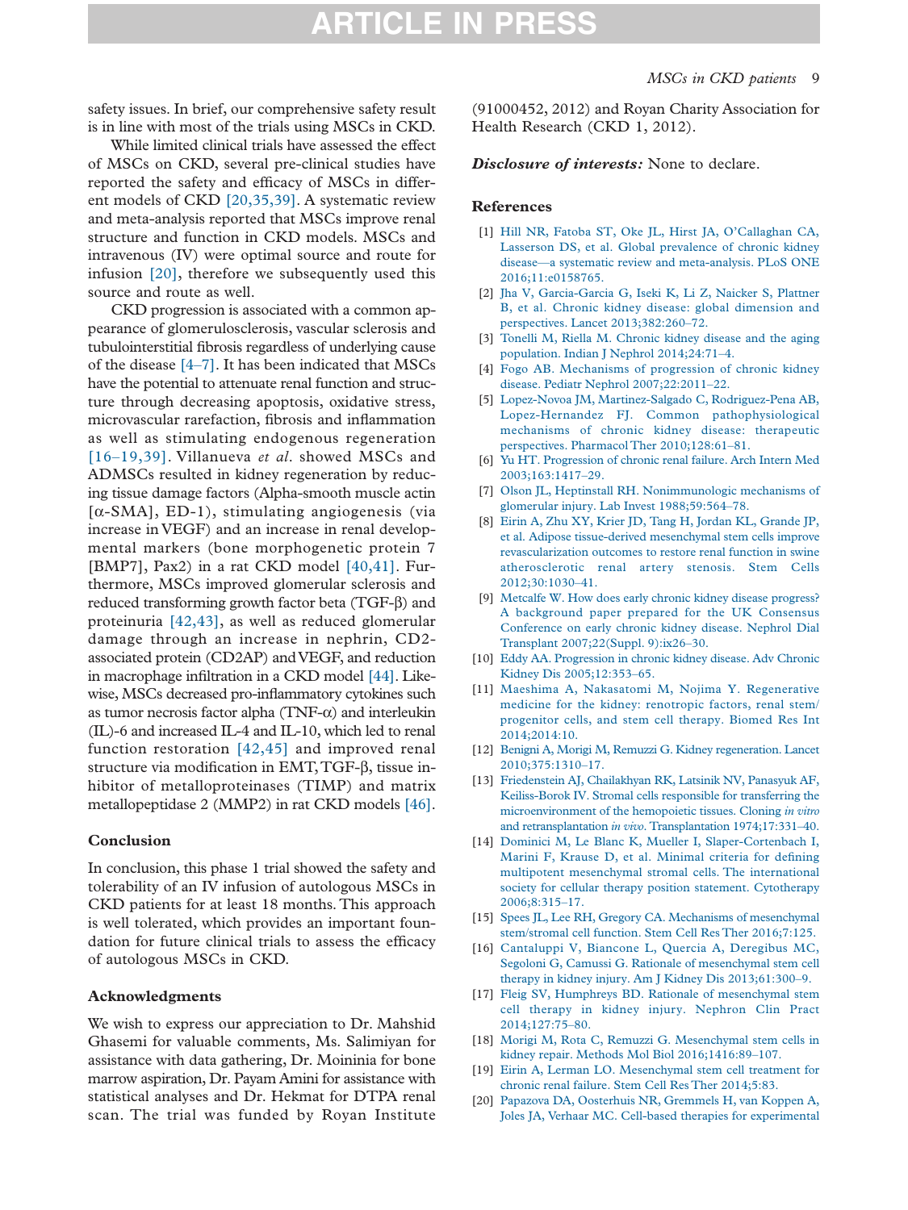safety issues. In brief, our comprehensive safety result is in line with most of the trials using MSCs in CKD.

While limited clinical trials have assessed the effect of MSCs on CKD, several pre-clinical studies have reported the safety and efficacy of MSCs in different models of CKD [\[20,35,39\].](#page-9-10) A systematic review and meta-analysis reported that MSCs improve renal structure and function in CKD models. MSCs and intravenous (IV) were optimal source and route for infusion [\[20\],](#page-9-10) therefore we subsequently used this source and route as well.

CKD progression is associated with a common appearance of glomerulosclerosis, vascular sclerosis and tubulointerstitial fibrosis regardless of underlying cause of the disease [\[4–7\].](#page-9-2) It has been indicated that MSCs have the potential to attenuate renal function and structure through decreasing apoptosis, oxidative stress, microvascular rarefaction, fibrosis and inflammation as well as stimulating endogenous regeneration [\[16–19,39\].](#page-9-9) Villanueva *et al*. showed MSCs and ADMSCs resulted in kidney regeneration by reducing tissue damage factors (Alpha-smooth muscle actin [α-SMA], ED-1), stimulating angiogenesis (via increase in VEGF) and an increase in renal developmental markers (bone morphogenetic protein 7 [BMP7], Pax2) in a rat CKD model [\[40,41\].](#page-10-24) Furthermore, MSCs improved glomerular sclerosis and reduced transforming growth factor beta (TGF-β) and proteinuria [\[42,43\],](#page-10-25) as well as reduced glomerular damage through an increase in nephrin, CD2 associated protein (CD2AP) and VEGF, and reduction in macrophage infiltration in a CKD model [\[44\].](#page-10-26) Likewise, MSCs decreased pro-inflammatory cytokines such as tumor necrosis factor alpha  $(TNF-\alpha)$  and interleukin (IL)-6 and increased IL-4 and IL-10, which led to renal function restoration [\[42,45\]](#page-10-25) and improved renal structure via modification in EMT,TGF-β, tissue inhibitor of metalloproteinases (TIMP) and matrix metallopeptidase 2 (MMP2) in rat CKD models [\[46\].](#page-10-27)

### **Conclusion**

In conclusion, this phase 1 trial showed the safety and tolerability of an IV infusion of autologous MSCs in CKD patients for at least 18 months. This approach is well tolerated, which provides an important foundation for future clinical trials to assess the efficacy of autologous MSCs in CKD.

#### **Acknowledgments**

We wish to express our appreciation to Dr. Mahshid Ghasemi for valuable comments, Ms. Salimiyan for assistance with data gathering, Dr. Moininia for bone marrow aspiration, Dr. Payam Amini for assistance with statistical analyses and Dr. Hekmat for DTPA renal scan. The trial was funded by Royan Institute

(91000452, 2012) and Royan Charity Association for Health Research (CKD 1, 2012).

*Disclosure of interests:* None to declare.

#### **References**

- <span id="page-9-0"></span>[1] [Hill NR, Fatoba ST, Oke JL, Hirst JA, O'Callaghan CA,](http://refhub.elsevier.com/S1465-3249(18)30404-3/sr0010) [Lasserson DS, et al. Global prevalence of chronic kidney](http://refhub.elsevier.com/S1465-3249(18)30404-3/sr0010) [disease—a systematic review and meta-analysis. PLoS ONE](http://refhub.elsevier.com/S1465-3249(18)30404-3/sr0010) [2016;11:e0158765.](http://refhub.elsevier.com/S1465-3249(18)30404-3/sr0010)
- <span id="page-9-1"></span>[2] [Jha V, Garcia-Garcia G, Iseki K, Li Z, Naicker S, Plattner](http://refhub.elsevier.com/S1465-3249(18)30404-3/sr0015) [B, et al. Chronic kidney disease: global dimension and](http://refhub.elsevier.com/S1465-3249(18)30404-3/sr0015) [perspectives. Lancet 2013;382:260–72.](http://refhub.elsevier.com/S1465-3249(18)30404-3/sr0015)
- [3] [Tonelli M, Riella M. Chronic kidney disease and the aging](http://refhub.elsevier.com/S1465-3249(18)30404-3/sr0020) [population. Indian J Nephrol 2014;24:71–4.](http://refhub.elsevier.com/S1465-3249(18)30404-3/sr0020)
- <span id="page-9-2"></span>[4] [Fogo AB. Mechanisms of progression of chronic kidney](http://refhub.elsevier.com/S1465-3249(18)30404-3/sr0025) [disease. Pediatr Nephrol 2007;22:2011–22.](http://refhub.elsevier.com/S1465-3249(18)30404-3/sr0025)
- [5] [Lopez-Novoa JM, Martinez-Salgado C, Rodriguez-Pena AB,](http://refhub.elsevier.com/S1465-3249(18)30404-3/sr0030) [Lopez-Hernandez FJ. Common pathophysiological](http://refhub.elsevier.com/S1465-3249(18)30404-3/sr0030) [mechanisms of chronic kidney disease: therapeutic](http://refhub.elsevier.com/S1465-3249(18)30404-3/sr0030) [perspectives. Pharmacol Ther 2010;128:61–81.](http://refhub.elsevier.com/S1465-3249(18)30404-3/sr0030)
- [6] [Yu HT. Progression of chronic renal failure. Arch Intern Med](http://refhub.elsevier.com/S1465-3249(18)30404-3/sr0035) [2003;163:1417–29.](http://refhub.elsevier.com/S1465-3249(18)30404-3/sr0035)
- [7] [Olson JL, Heptinstall RH. Nonimmunologic mechanisms of](http://refhub.elsevier.com/S1465-3249(18)30404-3/sr0040) [glomerular injury. Lab Invest 1988;59:564–78.](http://refhub.elsevier.com/S1465-3249(18)30404-3/sr0040)
- <span id="page-9-3"></span>[8] [Eirin A, Zhu XY, Krier JD, Tang H, Jordan KL, Grande JP,](http://refhub.elsevier.com/S1465-3249(18)30404-3/sr0045) [et al. Adipose tissue-derived mesenchymal stem cells improve](http://refhub.elsevier.com/S1465-3249(18)30404-3/sr0045) [revascularization outcomes to restore renal function in swine](http://refhub.elsevier.com/S1465-3249(18)30404-3/sr0045) [atherosclerotic renal artery stenosis. Stem Cells](http://refhub.elsevier.com/S1465-3249(18)30404-3/sr0045) [2012;30:1030–41.](http://refhub.elsevier.com/S1465-3249(18)30404-3/sr0045)
- [9] [Metcalfe W. How does early chronic kidney disease progress?](http://refhub.elsevier.com/S1465-3249(18)30404-3/sr0050) [A background paper prepared for the UK Consensus](http://refhub.elsevier.com/S1465-3249(18)30404-3/sr0050) [Conference on early chronic kidney disease. Nephrol Dial](http://refhub.elsevier.com/S1465-3249(18)30404-3/sr0050) [Transplant 2007;22\(Suppl. 9\):ix26–30.](http://refhub.elsevier.com/S1465-3249(18)30404-3/sr0050)
- [10] [Eddy AA. Progression in chronic kidney disease. Adv Chronic](http://refhub.elsevier.com/S1465-3249(18)30404-3/sr0055) [Kidney Dis 2005;12:353–65.](http://refhub.elsevier.com/S1465-3249(18)30404-3/sr0055)
- <span id="page-9-4"></span>[11] [Maeshima A, Nakasatomi M, Nojima Y. Regenerative](http://refhub.elsevier.com/S1465-3249(18)30404-3/sr0060) [medicine for the kidney: renotropic factors, renal stem/](http://refhub.elsevier.com/S1465-3249(18)30404-3/sr0060) [progenitor cells, and stem cell therapy. Biomed Res Int](http://refhub.elsevier.com/S1465-3249(18)30404-3/sr0060) [2014;2014:10.](http://refhub.elsevier.com/S1465-3249(18)30404-3/sr0060)
- <span id="page-9-5"></span>[12] [Benigni A, Morigi M, Remuzzi G. Kidney regeneration. Lancet](http://refhub.elsevier.com/S1465-3249(18)30404-3/sr0065) [2010;375:1310–17.](http://refhub.elsevier.com/S1465-3249(18)30404-3/sr0065)
- <span id="page-9-6"></span>[13] [Friedenstein AJ, Chailakhyan RK, Latsinik NV, Panasyuk AF,](http://refhub.elsevier.com/S1465-3249(18)30404-3/sr0070) [Keiliss-Borok IV. Stromal cells responsible for transferring the](http://refhub.elsevier.com/S1465-3249(18)30404-3/sr0070) [microenvironment of the hemopoietic tissues. Cloning](http://refhub.elsevier.com/S1465-3249(18)30404-3/sr0070) *in vitro* and retransplantation *in vivo*[. Transplantation 1974;17:331–40.](http://refhub.elsevier.com/S1465-3249(18)30404-3/sr0070)
- <span id="page-9-7"></span>[14] [Dominici M, Le Blanc K, Mueller I, Slaper-Cortenbach I,](http://refhub.elsevier.com/S1465-3249(18)30404-3/sr0075) [Marini F, Krause D, et al. Minimal criteria for defining](http://refhub.elsevier.com/S1465-3249(18)30404-3/sr0075) [multipotent mesenchymal stromal cells. The international](http://refhub.elsevier.com/S1465-3249(18)30404-3/sr0075) [society for cellular therapy position statement. Cytotherapy](http://refhub.elsevier.com/S1465-3249(18)30404-3/sr0075) [2006;8:315–17.](http://refhub.elsevier.com/S1465-3249(18)30404-3/sr0075)
- <span id="page-9-8"></span>[15] [Spees JL, Lee RH, Gregory CA. Mechanisms of mesenchymal](http://refhub.elsevier.com/S1465-3249(18)30404-3/sr0080) [stem/stromal cell function. Stem Cell Res Ther 2016;7:125.](http://refhub.elsevier.com/S1465-3249(18)30404-3/sr0080)
- <span id="page-9-9"></span>[16] [Cantaluppi V, Biancone L, Quercia A, Deregibus MC,](http://refhub.elsevier.com/S1465-3249(18)30404-3/sr0085) [Segoloni G, Camussi G. Rationale of mesenchymal stem cell](http://refhub.elsevier.com/S1465-3249(18)30404-3/sr0085) [therapy in kidney injury. Am J Kidney Dis 2013;61:300–9.](http://refhub.elsevier.com/S1465-3249(18)30404-3/sr0085)
- [17] [Fleig SV, Humphreys BD. Rationale of mesenchymal stem](http://refhub.elsevier.com/S1465-3249(18)30404-3/sr0090) [cell therapy in kidney injury. Nephron Clin Pract](http://refhub.elsevier.com/S1465-3249(18)30404-3/sr0090) [2014;127:75–80.](http://refhub.elsevier.com/S1465-3249(18)30404-3/sr0090)
- [18] [Morigi M, Rota C, Remuzzi G. Mesenchymal stem cells in](http://refhub.elsevier.com/S1465-3249(18)30404-3/sr0095) [kidney repair. Methods Mol Biol 2016;1416:89–107.](http://refhub.elsevier.com/S1465-3249(18)30404-3/sr0095)
- [19] [Eirin A, Lerman LO. Mesenchymal stem cell treatment for](http://refhub.elsevier.com/S1465-3249(18)30404-3/sr0100) [chronic renal failure. Stem Cell Res Ther 2014;5:83.](http://refhub.elsevier.com/S1465-3249(18)30404-3/sr0100)
- <span id="page-9-10"></span>[20] [Papazova DA, Oosterhuis NR, Gremmels H, van Koppen A,](http://refhub.elsevier.com/S1465-3249(18)30404-3/sr0105) [Joles JA, Verhaar MC. Cell-based therapies for experimental](http://refhub.elsevier.com/S1465-3249(18)30404-3/sr0105)